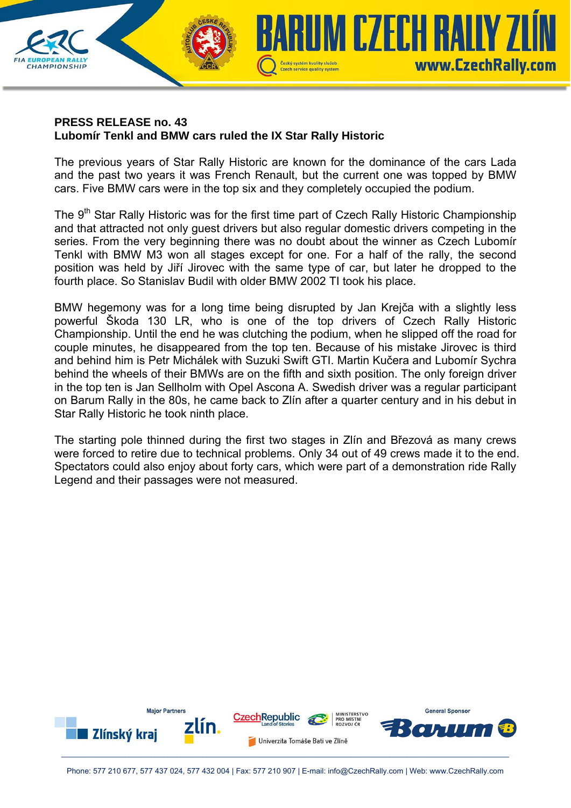

## **PRESS RELEASE no. 43 Lubomír Tenkl and BMW cars ruled the IX Star Rally Historic**

The previous years of Star Rally Historic are known for the dominance of the cars Lada and the past two years it was French Renault, but the current one was topped by BMW cars. Five BMW cars were in the top six and they completely occupied the podium.

The 9<sup>th</sup> Star Rally Historic was for the first time part of Czech Rally Historic Championship and that attracted not only guest drivers but also regular domestic drivers competing in the series. From the very beginning there was no doubt about the winner as Czech Lubomír Tenkl with BMW M3 won all stages except for one. For a half of the rally, the second position was held by Jiří Jirovec with the same type of car, but later he dropped to the fourth place. So Stanislav Budil with older BMW 2002 TI took his place.

BMW hegemony was for a long time being disrupted by Jan Krejča with a slightly less powerful Škoda 130 LR, who is one of the top drivers of Czech Rally Historic Championship. Until the end he was clutching the podium, when he slipped off the road for couple minutes, he disappeared from the top ten. Because of his mistake Jirovec is third and behind him is Petr Michálek with Suzuki Swift GTI. Martin Kučera and Lubomír Sychra behind the wheels of their BMWs are on the fifth and sixth position. The only foreign driver in the top ten is Jan Sellholm with Opel Ascona A. Swedish driver was a regular participant on Barum Rally in the 80s, he came back to Zlín after a quarter century and in his debut in Star Rally Historic he took ninth place.

The starting pole thinned during the first two stages in Zlín and Březová as many crews were forced to retire due to technical problems. Only 34 out of 49 crews made it to the end. Spectators could also enjoy about forty cars, which were part of a demonstration ride Rally Legend and their passages were not measured.